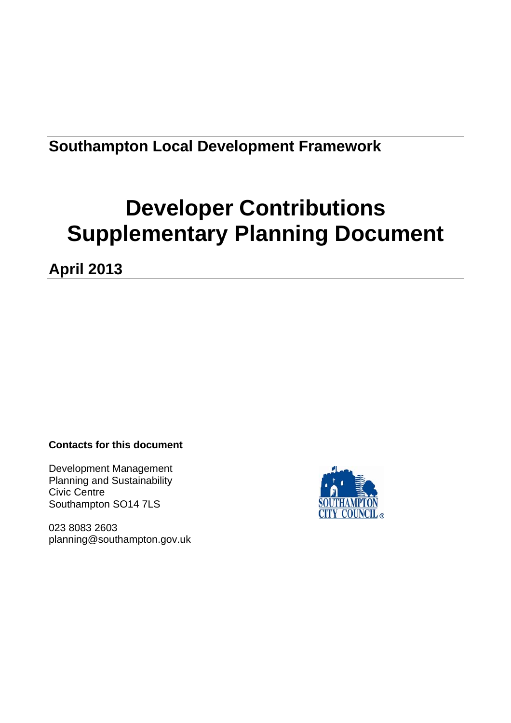## **Southampton Local Development Framework**

# **Developer Contributions Supplementary Planning Document**

**April 2013** 

## **Contacts for this document**

Development Management Planning and Sustainability Civic Centre Southampton SO14 7LS

023 8083 2603 planning@southampton.gov.uk

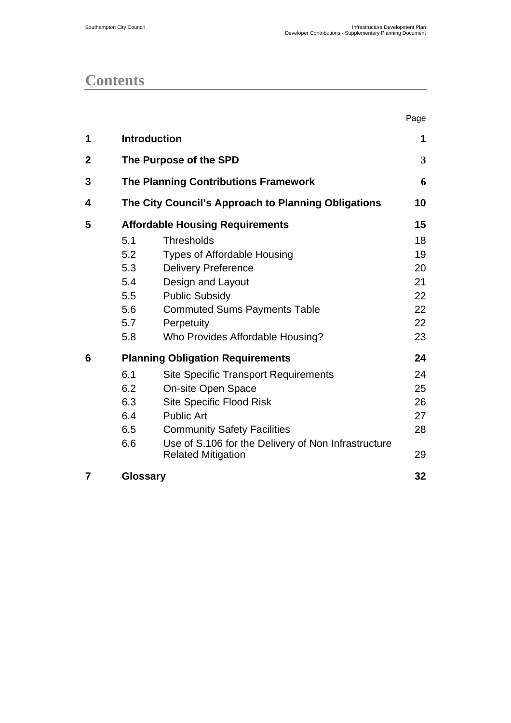## **Contents**

|              |                                             |                                                                                  | Page |  |  |  |  |
|--------------|---------------------------------------------|----------------------------------------------------------------------------------|------|--|--|--|--|
| 1            | <b>Introduction</b>                         |                                                                                  |      |  |  |  |  |
| $\mathbf{2}$ |                                             | The Purpose of the SPD                                                           | 3    |  |  |  |  |
| 3            | <b>The Planning Contributions Framework</b> |                                                                                  |      |  |  |  |  |
| 4            |                                             | The City Council's Approach to Planning Obligations                              | 10   |  |  |  |  |
| 5            |                                             | <b>Affordable Housing Requirements</b>                                           | 15   |  |  |  |  |
|              | 5.1                                         | <b>Thresholds</b>                                                                | 18   |  |  |  |  |
|              | 5.2                                         | <b>Types of Affordable Housing</b>                                               | 19   |  |  |  |  |
|              | 5.3                                         | <b>Delivery Preference</b>                                                       | 20   |  |  |  |  |
|              | 5.4                                         | Design and Layout                                                                | 21   |  |  |  |  |
|              | 5.5                                         | <b>Public Subsidy</b>                                                            | 22   |  |  |  |  |
|              | 5.6                                         | <b>Commuted Sums Payments Table</b>                                              | 22   |  |  |  |  |
|              | 5.7                                         | Perpetuity                                                                       | 22   |  |  |  |  |
|              | 5.8                                         | Who Provides Affordable Housing?                                                 | 23   |  |  |  |  |
| 6            |                                             | <b>Planning Obligation Requirements</b>                                          | 24   |  |  |  |  |
|              | 6.1                                         | <b>Site Specific Transport Requirements</b>                                      | 24   |  |  |  |  |
|              | 6.2                                         | On-site Open Space                                                               | 25   |  |  |  |  |
|              | 6.3                                         | <b>Site Specific Flood Risk</b>                                                  | 26   |  |  |  |  |
|              | 6.4                                         | <b>Public Art</b>                                                                | 27   |  |  |  |  |
|              | 6.5                                         | <b>Community Safety Facilities</b>                                               | 28   |  |  |  |  |
|              | 6.6                                         | Use of S.106 for the Delivery of Non Infrastructure<br><b>Related Mitigation</b> | 29   |  |  |  |  |
| 7            | <b>Glossary</b>                             |                                                                                  | 32   |  |  |  |  |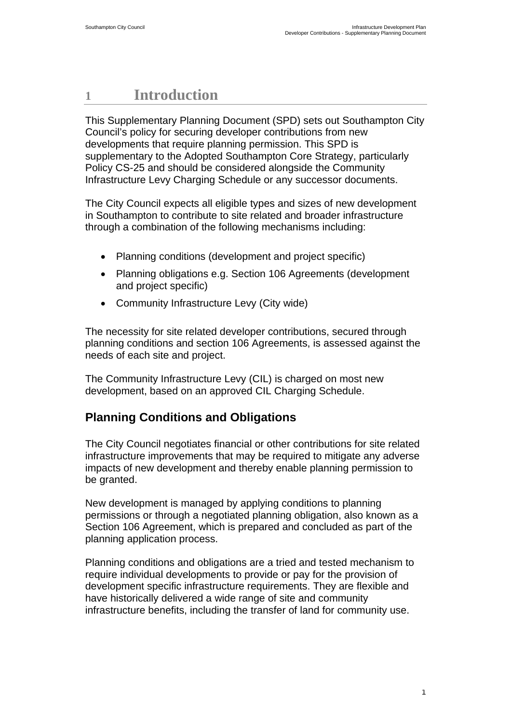## <span id="page-2-0"></span>**1 Introduction**

This Supplementary Planning Document (SPD) sets out Southampton City Council's policy for securing developer contributions from new developments that require planning permission. This SPD is supplementary to the Adopted Southampton Core Strategy, particularly Policy CS-25 and should be considered alongside the Community Infrastructure Levy Charging Schedule or any successor documents.

The City Council expects all eligible types and sizes of new development in Southampton to contribute to site related and broader infrastructure through a combination of the following mechanisms including:

- Planning conditions (development and project specific)
- Planning obligations e.g. Section 106 Agreements (development and project specific)
- Community Infrastructure Levy (City wide)

The necessity for site related developer contributions, secured through planning conditions and section 106 Agreements, is assessed against the needs of each site and project.

The Community Infrastructure Levy (CIL) is charged on most new development, based on an approved CIL Charging Schedule.

## **Planning Conditions and Obligations**

The City Council negotiates financial or other contributions for site related infrastructure improvements that may be required to mitigate any adverse impacts of new development and thereby enable planning permission to be granted.

New development is managed by applying conditions to planning permissions or through a negotiated planning obligation, also known as a Section 106 Agreement, which is prepared and concluded as part of the planning application process.

Planning conditions and obligations are a tried and tested mechanism to require individual developments to provide or pay for the provision of development specific infrastructure requirements. They are flexible and have historically delivered a wide range of site and community infrastructure benefits, including the transfer of land for community use.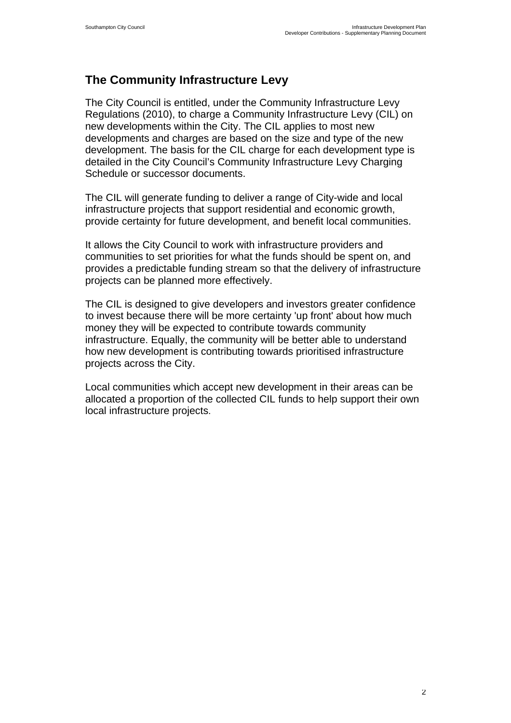## **The Community Infrastructure Levy**

The City Council is entitled, under the Community Infrastructure Levy Regulations (2010), to charge a Community Infrastructure Levy (CIL) on new developments within the City. The CIL applies to most new developments and charges are based on the size and type of the new development. The basis for the CIL charge for each development type is detailed in the City Council's Community Infrastructure Levy Charging Schedule or successor documents.

The CIL will generate funding to deliver a range of City-wide and local infrastructure projects that support residential and economic growth, provide certainty for future development, and benefit local communities.

It allows the City Council to work with infrastructure providers and communities to set priorities for what the funds should be spent on, and provides a predictable funding stream so that the delivery of infrastructure projects can be planned more effectively.

The CIL is designed to give developers and investors greater confidence to invest because there will be more certainty 'up front' about how much money they will be expected to contribute towards community infrastructure. Equally, the community will be better able to understand how new development is contributing towards prioritised infrastructure projects across the City.

Local communities which accept new development in their areas can be allocated a proportion of the collected CIL funds to help support their own local infrastructure projects.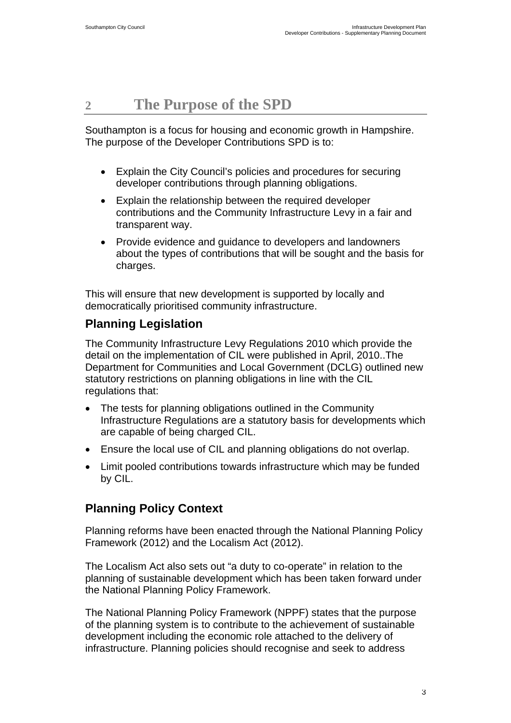## <span id="page-4-0"></span>**2 The Purpose of the SPD**

Southampton is a focus for housing and economic growth in Hampshire. The purpose of the Developer Contributions SPD is to:

- Explain the City Council's policies and procedures for securing developer contributions through planning obligations.
- Explain the relationship between the required developer contributions and the Community Infrastructure Levy in a fair and transparent way.
- Provide evidence and guidance to developers and landowners about the types of contributions that will be sought and the basis for charges.

This will ensure that new development is supported by locally and democratically prioritised community infrastructure.

## **Planning Legislation**

The Community Infrastructure Levy Regulations 2010 which provide the detail on the implementation of CIL were published in April, 2010..The Department for Communities and Local Government (DCLG) outlined new statutory restrictions on planning obligations in line with the CIL regulations that:

- The tests for planning obligations outlined in the Community Infrastructure Regulations are a statutory basis for developments which are capable of being charged CIL.
- Ensure the local use of CIL and planning obligations do not overlap.
- Limit pooled contributions towards infrastructure which may be funded by CIL.

## **Planning Policy Context**

Planning reforms have been enacted through the National Planning Policy Framework (2012) and the Localism Act (2012).

The Localism Act also sets out "a duty to co-operate" in relation to the planning of sustainable development which has been taken forward under the National Planning Policy Framework.

The National Planning Policy Framework (NPPF) states that the purpose of the planning system is to contribute to the achievement of sustainable development including the economic role attached to the delivery of infrastructure. Planning policies should recognise and seek to address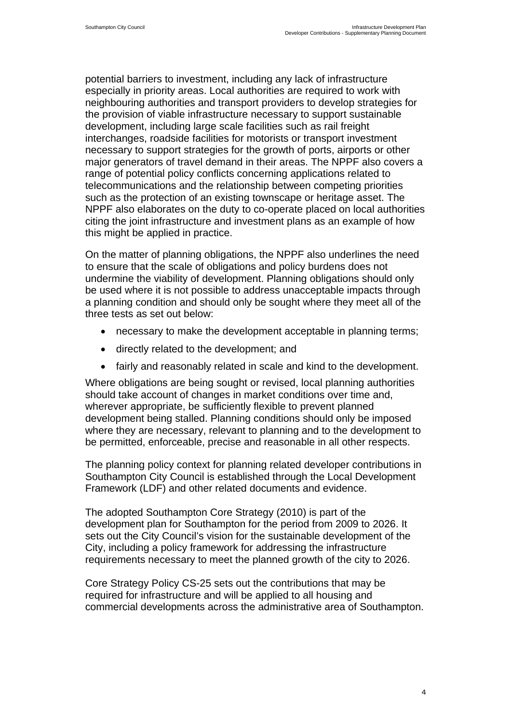potential barriers to investment, including any lack of infrastructure especially in priority areas. Local authorities are required to work with neighbouring authorities and transport providers to develop strategies for the provision of viable infrastructure necessary to support sustainable development, including large scale facilities such as rail freight interchanges, roadside facilities for motorists or transport investment necessary to support strategies for the growth of ports, airports or other major generators of travel demand in their areas. The NPPF also covers a range of potential policy conflicts concerning applications related to telecommunications and the relationship between competing priorities such as the protection of an existing townscape or heritage asset. The NPPF also elaborates on the duty to co-operate placed on local authorities citing the joint infrastructure and investment plans as an example of how this might be applied in practice.

On the matter of planning obligations, the NPPF also underlines the need to ensure that the scale of obligations and policy burdens does not undermine the viability of development. Planning obligations should only be used where it is not possible to address unacceptable impacts through a planning condition and should only be sought where they meet all of the three tests as set out below:

- necessary to make the development acceptable in planning terms;
- directly related to the development; and
- fairly and reasonably related in scale and kind to the development.

Where obligations are being sought or revised, local planning authorities should take account of changes in market conditions over time and, wherever appropriate, be sufficiently flexible to prevent planned development being stalled. Planning conditions should only be imposed where they are necessary, relevant to planning and to the development to be permitted, enforceable, precise and reasonable in all other respects.

The planning policy context for planning related developer contributions in Southampton City Council is established through the Local Development Framework (LDF) and other related documents and evidence.

The adopted Southampton Core Strategy (2010) is part of the development plan for Southampton for the period from 2009 to 2026. It sets out the City Council's vision for the sustainable development of the City, including a policy framework for addressing the infrastructure requirements necessary to meet the planned growth of the city to 2026.

Core Strategy Policy CS-25 sets out the contributions that may be required for infrastructure and will be applied to all housing and commercial developments across the administrative area of Southampton.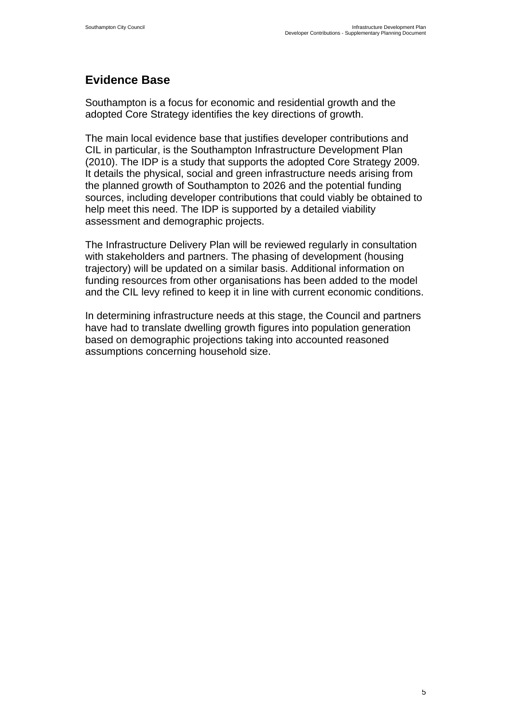## **Evidence Base**

Southampton is a focus for economic and residential growth and the adopted Core Strategy identifies the key directions of growth.

The main local evidence base that justifies developer contributions and CIL in particular, is the Southampton Infrastructure Development Plan (2010). The IDP is a study that supports the adopted Core Strategy 2009. It details the physical, social and green infrastructure needs arising from the planned growth of Southampton to 2026 and the potential funding sources, including developer contributions that could viably be obtained to help meet this need. The IDP is supported by a detailed viability assessment and demographic projects.

The Infrastructure Delivery Plan will be reviewed regularly in consultation with stakeholders and partners. The phasing of development (housing trajectory) will be updated on a similar basis. Additional information on funding resources from other organisations has been added to the model and the CIL levy refined to keep it in line with current economic conditions.

In determining infrastructure needs at this stage, the Council and partners have had to translate dwelling growth figures into population generation based on demographic projections taking into accounted reasoned assumptions concerning household size.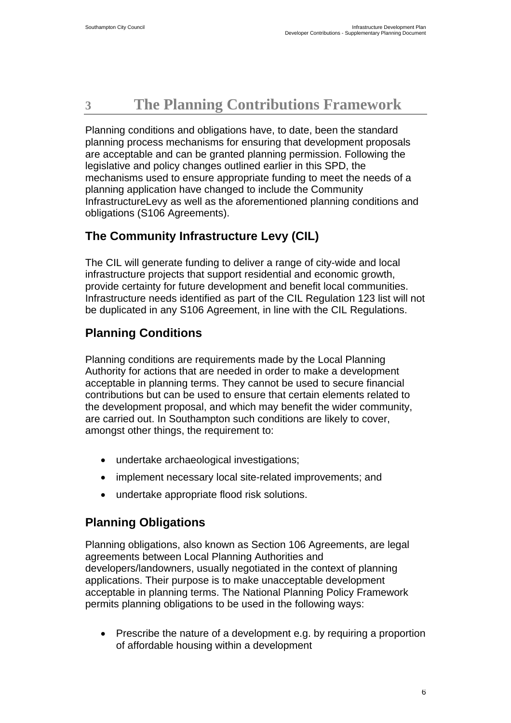## <span id="page-7-0"></span>**3 The Planning Contributions Framework**

Planning conditions and obligations have, to date, been the standard planning process mechanisms for ensuring that development proposals are acceptable and can be granted planning permission. Following the legislative and policy changes outlined earlier in this SPD, the mechanisms used to ensure appropriate funding to meet the needs of a planning application have changed to include the Community InfrastructureLevy as well as the aforementioned planning conditions and obligations (S106 Agreements).

## **The Community Infrastructure Levy (CIL)**

The CIL will generate funding to deliver a range of city-wide and local infrastructure projects that support residential and economic growth, provide certainty for future development and benefit local communities. Infrastructure needs identified as part of the CIL Regulation 123 list will not be duplicated in any S106 Agreement, in line with the CIL Regulations.

## **Planning Conditions**

Planning conditions are requirements made by the Local Planning Authority for actions that are needed in order to make a development acceptable in planning terms. They cannot be used to secure financial contributions but can be used to ensure that certain elements related to the development proposal, and which may benefit the wider community, are carried out. In Southampton such conditions are likely to cover, amongst other things, the requirement to:

- undertake archaeological investigations;
- implement necessary local site-related improvements; and
- undertake appropriate flood risk solutions.

## **Planning Obligations**

Planning obligations, also known as Section 106 Agreements, are legal agreements between Local Planning Authorities and developers/landowners, usually negotiated in the context of planning applications. Their purpose is to make unacceptable development acceptable in planning terms. The National Planning Policy Framework permits planning obligations to be used in the following ways:

• Prescribe the nature of a development e.g. by requiring a proportion of affordable housing within a development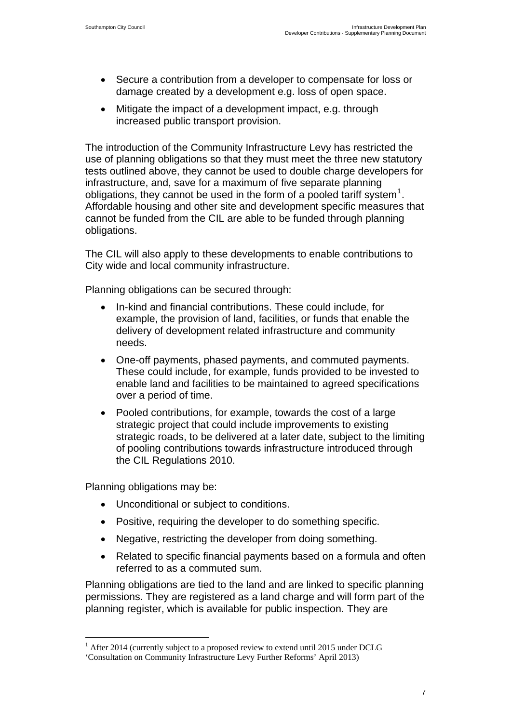- <span id="page-8-0"></span>• Secure a contribution from a developer to compensate for loss or damage created by a development e.g. loss of open space.
- Mitigate the impact of a development impact, e.g. through increased public transport provision.

The introduction of the Community Infrastructure Levy has restricted the use of planning obligations so that they must meet the three new statutory tests outlined above, they cannot be used to double charge developers for infrastructure, and, save for a maximum of five separate planning obligations, they cannot be used in the form of a pooled tariff system<sup>[1](#page-8-0)</sup>. Affordable housing and other site and development specific measures that cannot be funded from the CIL are able to be funded through planning obligations.

The CIL will also apply to these developments to enable contributions to City wide and local community infrastructure.

Planning obligations can be secured through:

- In-kind and financial contributions. These could include, for example, the provision of land, facilities, or funds that enable the delivery of development related infrastructure and community needs.
- One-off payments, phased payments, and commuted payments. These could include, for example, funds provided to be invested to enable land and facilities to be maintained to agreed specifications over a period of time.
- Pooled contributions, for example, towards the cost of a large strategic project that could include improvements to existing strategic roads, to be delivered at a later date, subject to the limiting of pooling contributions towards infrastructure introduced through the CIL Regulations 2010.

Planning obligations may be:

 $\overline{a}$ 

- Unconditional or subject to conditions.
- Positive, requiring the developer to do something specific.
- Negative, restricting the developer from doing something.
- Related to specific financial payments based on a formula and often referred to as a commuted sum.

Planning obligations are tied to the land and are linked to specific planning permissions. They are registered as a land charge and will form part of the planning register, which is available for public inspection. They are

<sup>&</sup>lt;sup>1</sup> After 2014 (currently subject to a proposed review to extend until 2015 under DCLG

<sup>&#</sup>x27;Consultation on Community Infrastructure Levy Further Reforms' April 2013)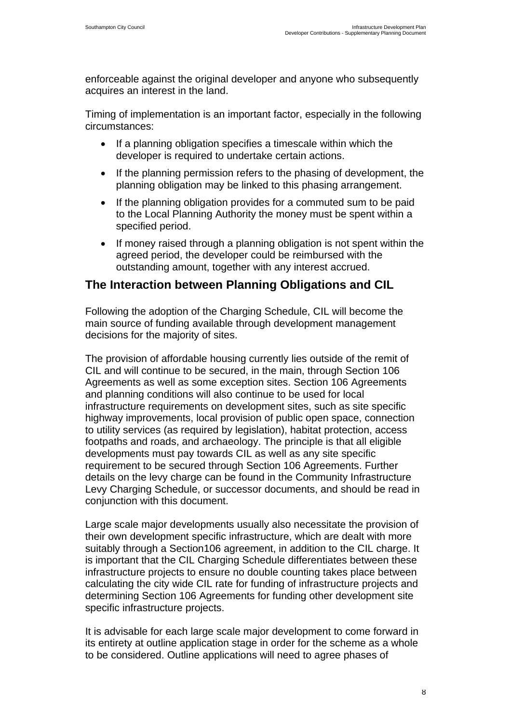enforceable against the original developer and anyone who subsequently acquires an interest in the land.

Timing of implementation is an important factor, especially in the following circumstances:

- If a planning obligation specifies a timescale within which the developer is required to undertake certain actions.
- If the planning permission refers to the phasing of development, the planning obligation may be linked to this phasing arrangement.
- If the planning obligation provides for a commuted sum to be paid to the Local Planning Authority the money must be spent within a specified period.
- If money raised through a planning obligation is not spent within the agreed period, the developer could be reimbursed with the outstanding amount, together with any interest accrued.

## **The Interaction between Planning Obligations and CIL**

Following the adoption of the Charging Schedule, CIL will become the main source of funding available through development management decisions for the majority of sites.

The provision of affordable housing currently lies outside of the remit of CIL and will continue to be secured, in the main, through Section 106 Agreements as well as some exception sites. Section 106 Agreements and planning conditions will also continue to be used for local infrastructure requirements on development sites, such as site specific highway improvements, local provision of public open space, connection to utility services (as required by legislation), habitat protection, access footpaths and roads, and archaeology. The principle is that all eligible developments must pay towards CIL as well as any site specific requirement to be secured through Section 106 Agreements. Further details on the levy charge can be found in the Community Infrastructure Levy Charging Schedule, or successor documents, and should be read in conjunction with this document.

Large scale major developments usually also necessitate the provision of their own development specific infrastructure, which are dealt with more suitably through a Section106 agreement, in addition to the CIL charge. It is important that the CIL Charging Schedule differentiates between these infrastructure projects to ensure no double counting takes place between calculating the city wide CIL rate for funding of infrastructure projects and determining Section 106 Agreements for funding other development site specific infrastructure projects.

It is advisable for each large scale major development to come forward in its entirety at outline application stage in order for the scheme as a whole to be considered. Outline applications will need to agree phases of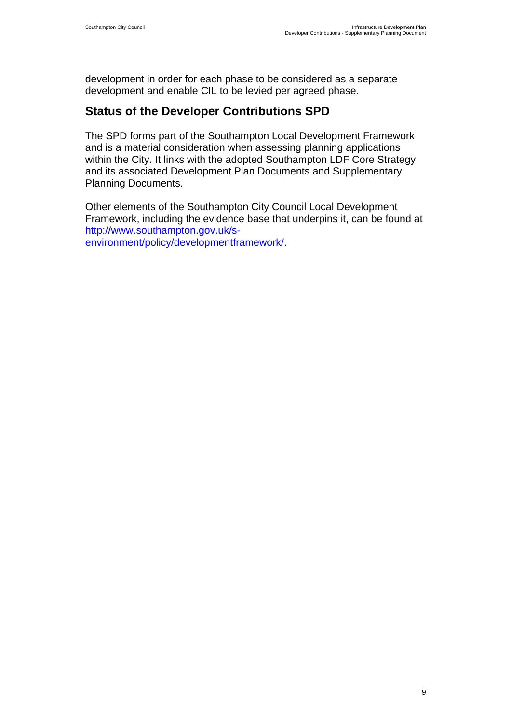development in order for each phase to be considered as a separate development and enable CIL to be levied per agreed phase.

## **Status of the Developer Contributions SPD**

The SPD forms part of the Southampton Local Development Framework and is a material consideration when assessing planning applications within the City. It links with the adopted Southampton LDF Core Strategy and its associated Development Plan Documents and Supplementary Planning Documents.

Other elements of the Southampton City Council Local Development Framework, including the evidence base that underpins it, can be found at http://www.southampton.gov.uk/senvironment/policy/developmentframework/.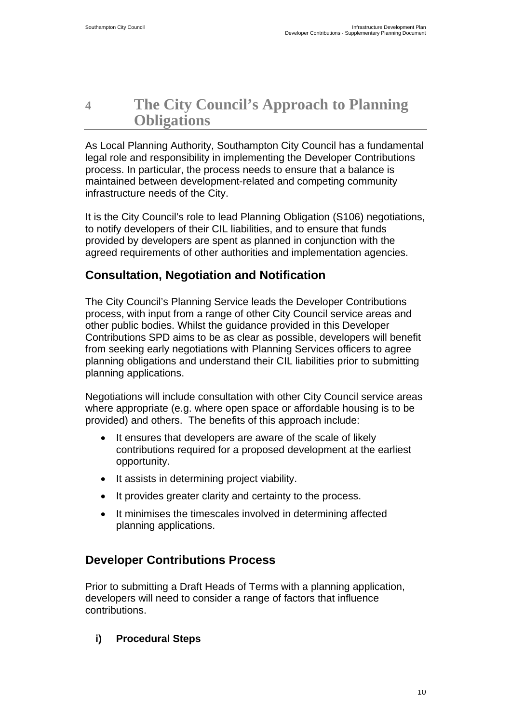## <span id="page-11-0"></span>**4 The City Council's Approach to Planning Obligations**

As Local Planning Authority, Southampton City Council has a fundamental legal role and responsibility in implementing the Developer Contributions process. In particular, the process needs to ensure that a balance is maintained between development-related and competing community infrastructure needs of the City.

It is the City Council's role to lead Planning Obligation (S106) negotiations, to notify developers of their CIL liabilities, and to ensure that funds provided by developers are spent as planned in conjunction with the agreed requirements of other authorities and implementation agencies.

## **Consultation, Negotiation and Notification**

The City Council's Planning Service leads the Developer Contributions process, with input from a range of other City Council service areas and other public bodies. Whilst the guidance provided in this Developer Contributions SPD aims to be as clear as possible, developers will benefit from seeking early negotiations with Planning Services officers to agree planning obligations and understand their CIL liabilities prior to submitting planning applications.

Negotiations will include consultation with other City Council service areas where appropriate (e.g. where open space or affordable housing is to be provided) and others. The benefits of this approach include:

- It ensures that developers are aware of the scale of likely contributions required for a proposed development at the earliest opportunity.
- It assists in determining project viability.
- It provides greater clarity and certainty to the process.
- It minimises the timescales involved in determining affected planning applications.

## **Developer Contributions Process**

Prior to submitting a Draft Heads of Terms with a planning application, developers will need to consider a range of factors that influence contributions.

## **i) Procedural Steps**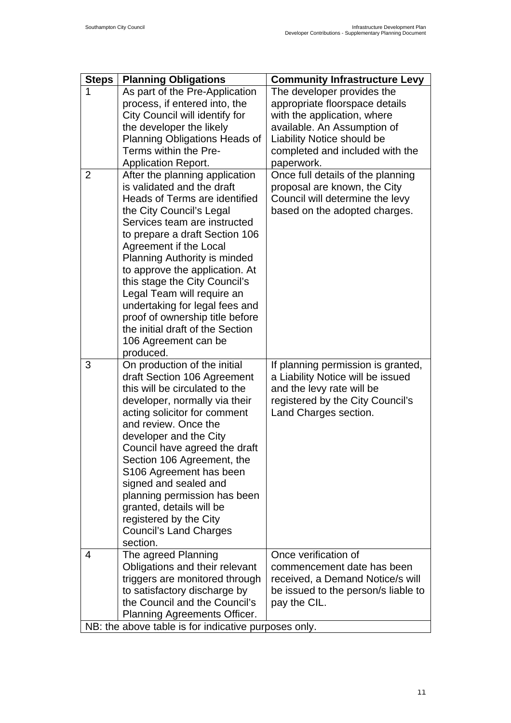| <b>Steps</b>   | <b>Planning Obligations</b>                                   | <b>Community Infrastructure Levy</b>                |
|----------------|---------------------------------------------------------------|-----------------------------------------------------|
| 1              | As part of the Pre-Application                                | The developer provides the                          |
|                | process, if entered into, the                                 | appropriate floorspace details                      |
|                | City Council will identify for                                | with the application, where                         |
|                | the developer the likely                                      | available. An Assumption of                         |
|                | Planning Obligations Heads of                                 | Liability Notice should be                          |
|                | Terms within the Pre-                                         | completed and included with the                     |
|                | <b>Application Report.</b>                                    | paperwork.                                          |
| $\overline{2}$ | After the planning application                                | Once full details of the planning                   |
|                | is validated and the draft                                    | proposal are known, the City                        |
|                | Heads of Terms are identified                                 | Council will determine the levy                     |
|                | the City Council's Legal                                      | based on the adopted charges.                       |
|                | Services team are instructed                                  |                                                     |
|                | to prepare a draft Section 106                                |                                                     |
|                | Agreement if the Local                                        |                                                     |
|                | <b>Planning Authority is minded</b>                           |                                                     |
|                | to approve the application. At                                |                                                     |
|                | this stage the City Council's<br>Legal Team will require an   |                                                     |
|                | undertaking for legal fees and                                |                                                     |
|                | proof of ownership title before                               |                                                     |
|                | the initial draft of the Section                              |                                                     |
|                | 106 Agreement can be                                          |                                                     |
|                | produced.                                                     |                                                     |
| 3              | On production of the initial                                  | If planning permission is granted,                  |
|                | draft Section 106 Agreement                                   | a Liability Notice will be issued                   |
|                | this will be circulated to the                                | and the levy rate will be                           |
|                | developer, normally via their                                 | registered by the City Council's                    |
|                | acting solicitor for comment                                  | Land Charges section.                               |
|                | and review. Once the                                          |                                                     |
|                | developer and the City                                        |                                                     |
|                | Council have agreed the draft                                 |                                                     |
|                | Section 106 Agreement, the                                    |                                                     |
|                | S106 Agreement has been                                       |                                                     |
|                | signed and sealed and                                         |                                                     |
|                | planning permission has been                                  |                                                     |
|                | granted, details will be                                      |                                                     |
|                | registered by the City                                        |                                                     |
|                | <b>Council's Land Charges</b>                                 |                                                     |
|                | section.                                                      |                                                     |
| 4              | The agreed Planning                                           | Once verification of                                |
|                | Obligations and their relevant                                | commencement date has been                          |
|                | triggers are monitored through                                | received, a Demand Notice/s will                    |
|                | to satisfactory discharge by<br>the Council and the Council's | be issued to the person/s liable to<br>pay the CIL. |
|                | Planning Agreements Officer.                                  |                                                     |
|                | NB: the above table is for indicative purposes only.          |                                                     |
|                |                                                               |                                                     |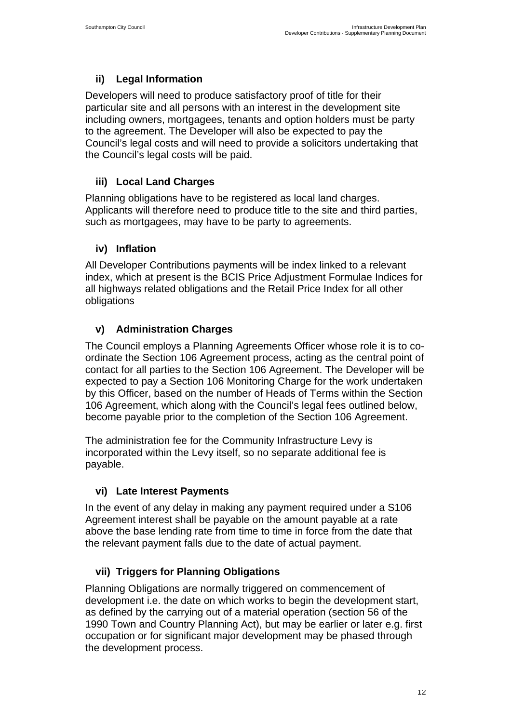## **ii) Legal Information**

Developers will need to produce satisfactory proof of title for their particular site and all persons with an interest in the development site including owners, mortgagees, tenants and option holders must be party to the agreement. The Developer will also be expected to pay the Council's legal costs and will need to provide a solicitors undertaking that the Council's legal costs will be paid.

## **iii) Local Land Charges**

Planning obligations have to be registered as local land charges. Applicants will therefore need to produce title to the site and third parties, such as mortgagees, may have to be party to agreements.

## **iv) Inflation**

All Developer Contributions payments will be index linked to a relevant index, which at present is the BCIS Price Adjustment Formulae Indices for all highways related obligations and the Retail Price Index for all other obligations

## **v) Administration Charges**

The Council employs a Planning Agreements Officer whose role it is to coordinate the Section 106 Agreement process, acting as the central point of contact for all parties to the Section 106 Agreement. The Developer will be expected to pay a Section 106 Monitoring Charge for the work undertaken by this Officer, based on the number of Heads of Terms within the Section 106 Agreement, which along with the Council's legal fees outlined below, become payable prior to the completion of the Section 106 Agreement.

The administration fee for the Community Infrastructure Levy is incorporated within the Levy itself, so no separate additional fee is payable.

## **vi) Late Interest Payments**

In the event of any delay in making any payment required under a S106 Agreement interest shall be payable on the amount payable at a rate above the base lending rate from time to time in force from the date that the relevant payment falls due to the date of actual payment.

## **vii) Triggers for Planning Obligations**

Planning Obligations are normally triggered on commencement of development i.e. the date on which works to begin the development start, as defined by the carrying out of a material operation (section 56 of the 1990 Town and Country Planning Act), but may be earlier or later e.g. first occupation or for significant major development may be phased through the development process.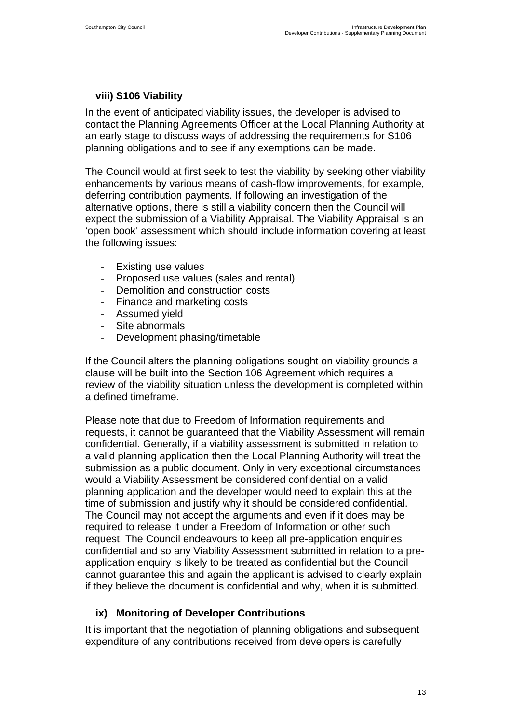### **viii) S106 Viability**

In the event of anticipated viability issues, the developer is advised to contact the Planning Agreements Officer at the Local Planning Authority at an early stage to discuss ways of addressing the requirements for S106 planning obligations and to see if any exemptions can be made.

The Council would at first seek to test the viability by seeking other viability enhancements by various means of cash-flow improvements, for example, deferring contribution payments. If following an investigation of the alternative options, there is still a viability concern then the Council will expect the submission of a Viability Appraisal. The Viability Appraisal is an 'open book' assessment which should include information covering at least the following issues:

- Existing use values
- Proposed use values (sales and rental)
- Demolition and construction costs
- Finance and marketing costs
- Assumed yield
- Site abnormals
- Development phasing/timetable

If the Council alters the planning obligations sought on viability grounds a clause will be built into the Section 106 Agreement which requires a review of the viability situation unless the development is completed within a defined timeframe.

Please note that due to Freedom of Information requirements and requests, it cannot be guaranteed that the Viability Assessment will remain confidential. Generally, if a viability assessment is submitted in relation to a valid planning application then the Local Planning Authority will treat the submission as a public document. Only in very exceptional circumstances would a Viability Assessment be considered confidential on a valid planning application and the developer would need to explain this at the time of submission and justify why it should be considered confidential. The Council may not accept the arguments and even if it does may be required to release it under a Freedom of Information or other such request. The Council endeavours to keep all pre-application enquiries confidential and so any Viability Assessment submitted in relation to a preapplication enquiry is likely to be treated as confidential but the Council cannot guarantee this and again the applicant is advised to clearly explain if they believe the document is confidential and why, when it is submitted.

### **ix) Monitoring of Developer Contributions**

It is important that the negotiation of planning obligations and subsequent expenditure of any contributions received from developers is carefully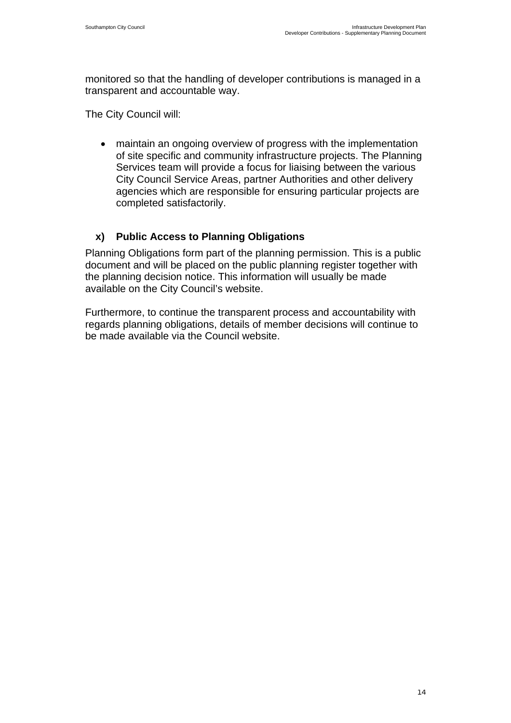monitored so that the handling of developer contributions is managed in a transparent and accountable way.

The City Council will:

• maintain an ongoing overview of progress with the implementation of site specific and community infrastructure projects. The Planning Services team will provide a focus for liaising between the various City Council Service Areas, partner Authorities and other delivery agencies which are responsible for ensuring particular projects are completed satisfactorily.

#### **x) Public Access to Planning Obligations**

Planning Obligations form part of the planning permission. This is a public document and will be placed on the public planning register together with the planning decision notice. This information will usually be made available on the City Council's website.

Furthermore, to continue the transparent process and accountability with regards planning obligations, details of member decisions will continue to be made available via the Council website.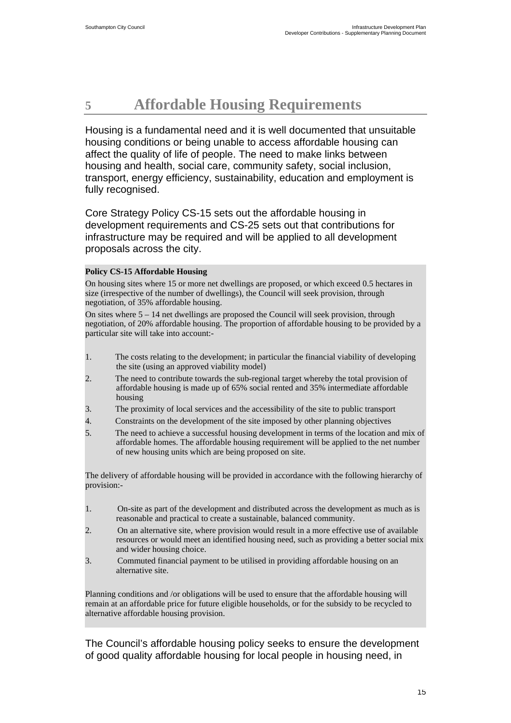## <span id="page-16-0"></span>**5 Affordable Housing Requirements**

Housing is a fundamental need and it is well documented that unsuitable housing conditions or being unable to access affordable housing can affect the quality of life of people. The need to make links between housing and health, social care, community safety, social inclusion, transport, energy efficiency, sustainability, education and employment is fully recognised.

Core Strategy Policy CS-15 sets out the affordable housing in development requirements and CS-25 sets out that contributions for infrastructure may be required and will be applied to all development proposals across the city.

#### **Policy CS-15 Affordable Housing**

On housing sites where 15 or more net dwellings are proposed, or which exceed 0.5 hectares in size (irrespective of the number of dwellings), the Council will seek provision, through negotiation, of 35% affordable housing.

On sites where  $5 - 14$  net dwellings are proposed the Council will seek provision, through negotiation, of 20% affordable housing. The proportion of affordable housing to be provided by a particular site will take into account:-

- 1. The costs relating to the development; in particular the financial viability of developing the site (using an approved viability model)
- 2. The need to contribute towards the sub-regional target whereby the total provision of affordable housing is made up of 65% social rented and 35% intermediate affordable housing
- 3. The proximity of local services and the accessibility of the site to public transport
- 4. Constraints on the development of the site imposed by other planning objectives
- 5. The need to achieve a successful housing development in terms of the location and mix of affordable homes. The affordable housing requirement will be applied to the net number of new housing units which are being proposed on site.

The delivery of affordable housing will be provided in accordance with the following hierarchy of provision:-

- 1. On-site as part of the development and distributed across the development as much as is reasonable and practical to create a sustainable, balanced community.
- 2. On an alternative site, where provision would result in a more effective use of available resources or would meet an identified housing need, such as providing a better social mix and wider housing choice.
- 3. Commuted financial payment to be utilised in providing affordable housing on an alternative site.

Planning conditions and /or obligations will be used to ensure that the affordable housing will remain at an affordable price for future eligible households, or for the subsidy to be recycled to alternative affordable housing provision.

The Council's affordable housing policy seeks to ensure the development of good quality affordable housing for local people in housing need, in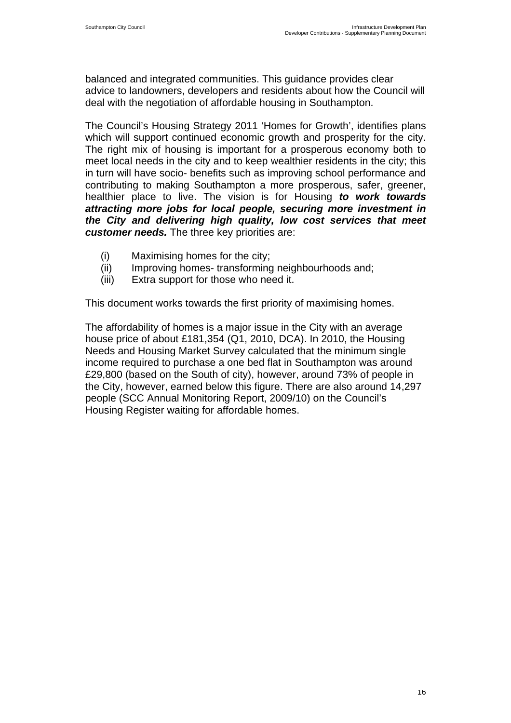balanced and integrated communities. This guidance provides clear advice to landowners, developers and residents about how the Council will deal with the negotiation of affordable housing in Southampton.

The Council's Housing Strategy 2011 'Homes for Growth', identifies plans which will support continued economic growth and prosperity for the city. The right mix of housing is important for a prosperous economy both to meet local needs in the city and to keep wealthier residents in the city; this in turn will have socio- benefits such as improving school performance and contributing to making Southampton a more prosperous, safer, greener, healthier place to live. The vision is for Housing *to work towards attracting more jobs for local people, securing more investment in the City and delivering high quality, low cost services that meet customer needs.* The three key priorities are:

- (i) Maximising homes for the city;
- (ii) Improving homes- transforming neighbourhoods and;
- (iii) Extra support for those who need it.

This document works towards the first priority of maximising homes.

The affordability of homes is a major issue in the City with an average house price of about £181,354 (Q1, 2010, DCA). In 2010, the Housing Needs and Housing Market Survey calculated that the minimum single income required to purchase a one bed flat in Southampton was around £29,800 (based on the South of city), however, around 73% of people in the City, however, earned below this figure. There are also around 14,297 people (SCC Annual Monitoring Report, 2009/10) on the Council's Housing Register waiting for affordable homes.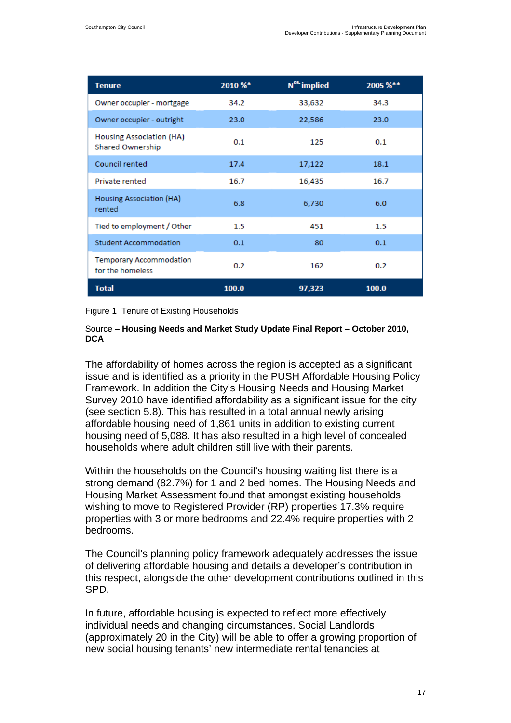| <b>Tenure</b>                                      | 2010 %* | N <sup>os.</sup> implied | 2005 %** |
|----------------------------------------------------|---------|--------------------------|----------|
| Owner occupier - mortgage                          | 34.2    | 33,632                   | 34.3     |
| Owner occupier - outright                          | 23.0    | 22,586                   | 23.0     |
| Housing Association (HA)<br>Shared Ownership       | 0.1     | 125                      | 0.1      |
| Council rented                                     | 17.4    | 17,122                   | 18.1     |
| Private rented                                     | 16.7    | 16,435                   | 16.7     |
| Housing Association (HA)<br>rented                 | 6.8     | 6,730                    | 6.0      |
| Tied to employment / Other                         | $1.5\,$ | 451                      | 1.5      |
| <b>Student Accommodation</b>                       | 0.1     | 80                       | 0.1      |
| <b>Temporary Accommodation</b><br>for the homeless | 0.2     | 162                      | 0.2      |
| <b>Total</b>                                       | 100.0   | 97,323                   | 100.0    |

#### Figure 1 Tenure of Existing Households

#### Source – **Housing Needs and Market Study Update Final Report – October 2010, DCA**

The affordability of homes across the region is accepted as a significant issue and is identified as a priority in the PUSH Affordable Housing Policy Framework. In addition the City's Housing Needs and Housing Market Survey 2010 have identified affordability as a significant issue for the city (see section 5.8). This has resulted in a total annual newly arising affordable housing need of 1,861 units in addition to existing current housing need of 5,088. It has also resulted in a high level of concealed households where adult children still live with their parents.

Within the households on the Council's housing waiting list there is a strong demand (82.7%) for 1 and 2 bed homes. The Housing Needs and Housing Market Assessment found that amongst existing households wishing to move to Registered Provider (RP) properties 17.3% require properties with 3 or more bedrooms and 22.4% require properties with 2 bedrooms.

The Council's planning policy framework adequately addresses the issue of delivering affordable housing and details a developer's contribution in this respect, alongside the other development contributions outlined in this SPD.

In future, affordable housing is expected to reflect more effectively individual needs and changing circumstances. Social Landlords (approximately 20 in the City) will be able to offer a growing proportion of new social housing tenants' new intermediate rental tenancies at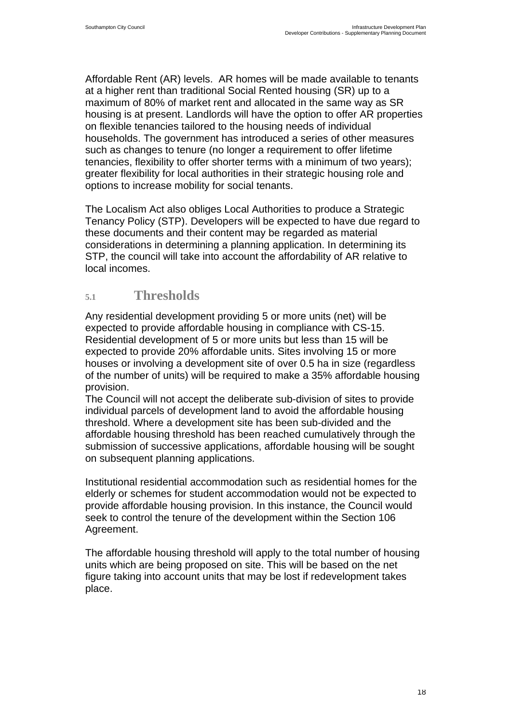<span id="page-19-0"></span>Affordable Rent (AR) levels. AR homes will be made available to tenants at a higher rent than traditional Social Rented housing (SR) up to a maximum of 80% of market rent and allocated in the same way as SR housing is at present. Landlords will have the option to offer AR properties on flexible tenancies tailored to the housing needs of individual households. The government has introduced a series of other measures such as changes to tenure (no longer a requirement to offer lifetime tenancies, flexibility to offer shorter terms with a minimum of two years); greater flexibility for local authorities in their strategic housing role and options to increase mobility for social tenants.

The Localism Act also obliges Local Authorities to produce a Strategic Tenancy Policy (STP). Developers will be expected to have due regard to these documents and their content may be regarded as material considerations in determining a planning application. In determining its STP, the council will take into account the affordability of AR relative to local incomes.

## **5.1 Thresholds**

Any residential development providing 5 or more units (net) will be expected to provide affordable housing in compliance with CS-15. Residential development of 5 or more units but less than 15 will be expected to provide 20% affordable units. Sites involving 15 or more houses or involving a development site of over 0.5 ha in size (regardless of the number of units) will be required to make a 35% affordable housing provision.

The Council will not accept the deliberate sub-division of sites to provide individual parcels of development land to avoid the affordable housing threshold. Where a development site has been sub-divided and the affordable housing threshold has been reached cumulatively through the submission of successive applications, affordable housing will be sought on subsequent planning applications.

Institutional residential accommodation such as residential homes for the elderly or schemes for student accommodation would not be expected to provide affordable housing provision. In this instance, the Council would seek to control the tenure of the development within the Section 106 Agreement.

The affordable housing threshold will apply to the total number of housing units which are being proposed on site. This will be based on the net figure taking into account units that may be lost if redevelopment takes place.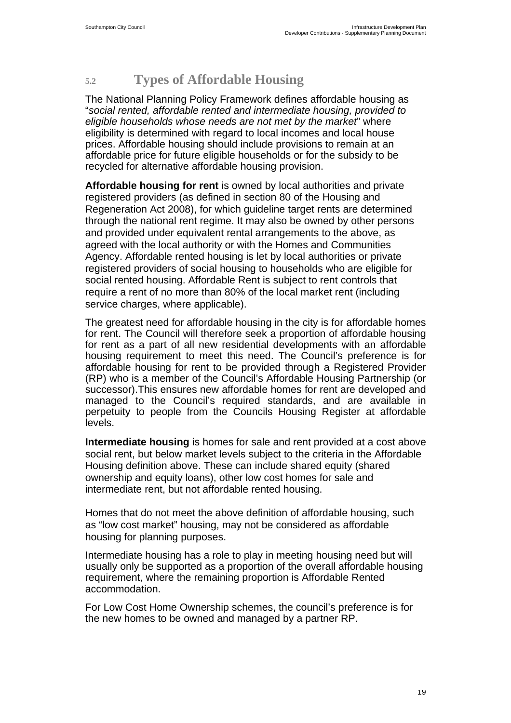## <span id="page-20-0"></span>**5.2 Types of Affordable Housing**

The National Planning Policy Framework defines affordable housing as "*social rented, affordable rented and intermediate housing, provided to eligible households whose needs are not met by the market*" where eligibility is determined with regard to local incomes and local house prices. Affordable housing should include provisions to remain at an affordable price for future eligible households or for the subsidy to be recycled for alternative affordable housing provision.

**Affordable housing for rent** is owned by local authorities and private registered providers (as defined in section 80 of the Housing and Regeneration Act 2008), for which guideline target rents are determined through the national rent regime. It may also be owned by other persons and provided under equivalent rental arrangements to the above, as agreed with the local authority or with the Homes and Communities Agency. Affordable rented housing is let by local authorities or private registered providers of social housing to households who are eligible for social rented housing. Affordable Rent is subject to rent controls that require a rent of no more than 80% of the local market rent (including service charges, where applicable).

The greatest need for affordable housing in the city is for affordable homes for rent. The Council will therefore seek a proportion of affordable housing for rent as a part of all new residential developments with an affordable housing requirement to meet this need. The Council's preference is for affordable housing for rent to be provided through a Registered Provider (RP) who is a member of the Council's Affordable Housing Partnership (or successor).This ensures new affordable homes for rent are developed and managed to the Council's required standards, and are available in perpetuity to people from the Councils Housing Register at affordable levels.

**Intermediate housing** is homes for sale and rent provided at a cost above social rent, but below market levels subject to the criteria in the Affordable Housing definition above. These can include shared equity (shared ownership and equity loans), other low cost homes for sale and intermediate rent, but not affordable rented housing.

Homes that do not meet the above definition of affordable housing, such as "low cost market" housing, may not be considered as affordable housing for planning purposes.

Intermediate housing has a role to play in meeting housing need but will usually only be supported as a proportion of the overall affordable housing requirement, where the remaining proportion is Affordable Rented accommodation.

For Low Cost Home Ownership schemes, the council's preference is for the new homes to be owned and managed by a partner RP.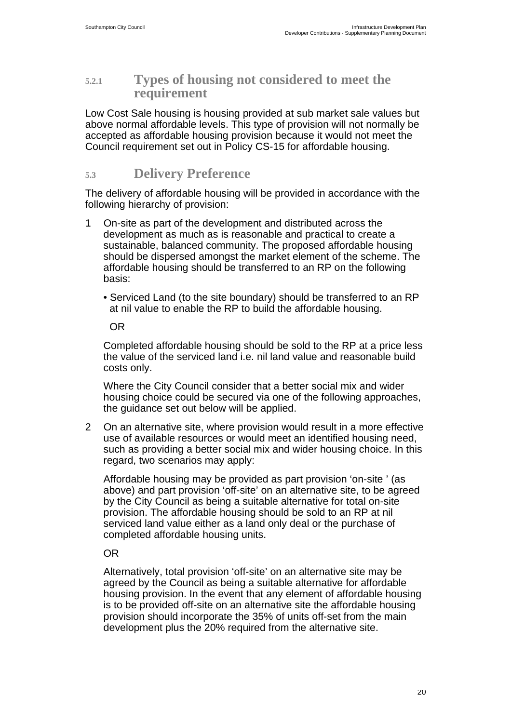## <span id="page-21-0"></span>**5.2.1 Types of housing not considered to meet the requirement**

Low Cost Sale housing is housing provided at sub market sale values but above normal affordable levels. This type of provision will not normally be accepted as affordable housing provision because it would not meet the Council requirement set out in Policy CS-15 for affordable housing.

## **5.3 Delivery Preference**

The delivery of affordable housing will be provided in accordance with the following hierarchy of provision:

- 1 On-site as part of the development and distributed across the development as much as is reasonable and practical to create a sustainable, balanced community. The proposed affordable housing should be dispersed amongst the market element of the scheme. The affordable housing should be transferred to an RP on the following basis:
	- Serviced Land (to the site boundary) should be transferred to an RP at nil value to enable the RP to build the affordable housing.

OR

Completed affordable housing should be sold to the RP at a price less the value of the serviced land i.e. nil land value and reasonable build costs only.

Where the City Council consider that a better social mix and wider housing choice could be secured via one of the following approaches, the guidance set out below will be applied.

2 On an alternative site, where provision would result in a more effective use of available resources or would meet an identified housing need, such as providing a better social mix and wider housing choice. In this regard, two scenarios may apply:

Affordable housing may be provided as part provision 'on-site ' (as above) and part provision 'off-site' on an alternative site, to be agreed by the City Council as being a suitable alternative for total on-site provision. The affordable housing should be sold to an RP at nil serviced land value either as a land only deal or the purchase of completed affordable housing units.

OR

Alternatively, total provision 'off-site' on an alternative site may be agreed by the Council as being a suitable alternative for affordable housing provision. In the event that any element of affordable housing is to be provided off-site on an alternative site the affordable housing provision should incorporate the 35% of units off-set from the main development plus the 20% required from the alternative site.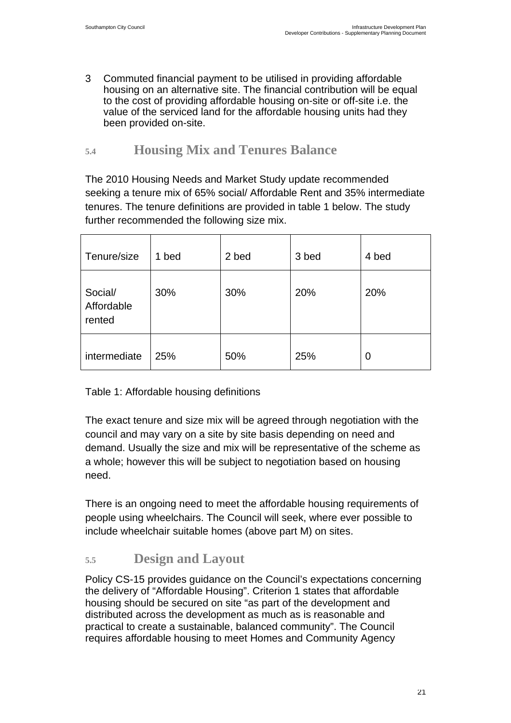<span id="page-22-0"></span>3 Commuted financial payment to be utilised in providing affordable housing on an alternative site. The financial contribution will be equal to the cost of providing affordable housing on-site or off-site i.e. the value of the serviced land for the affordable housing units had they been provided on-site.

## **5.4 Housing Mix and Tenures Balance**

The 2010 Housing Needs and Market Study update recommended seeking a tenure mix of 65% social/ Affordable Rent and 35% intermediate tenures. The tenure definitions are provided in table 1 below. The study further recommended the following size mix.

| Tenure/size                     | 1 bed | 2 bed | 3 bed | 4 bed |
|---------------------------------|-------|-------|-------|-------|
| Social/<br>Affordable<br>rented | 30%   | 30%   | 20%   | 20%   |
| intermediate                    | 25%   | 50%   | 25%   | 0     |

Table 1: Affordable housing definitions

The exact tenure and size mix will be agreed through negotiation with the council and may vary on a site by site basis depending on need and demand. Usually the size and mix will be representative of the scheme as a whole; however this will be subject to negotiation based on housing need.

There is an ongoing need to meet the affordable housing requirements of people using wheelchairs. The Council will seek, where ever possible to include wheelchair suitable homes (above part M) on sites.

## **5.5 Design and Layout**

Policy CS-15 provides guidance on the Council's expectations concerning the delivery of "Affordable Housing". Criterion 1 states that affordable housing should be secured on site "as part of the development and distributed across the development as much as is reasonable and practical to create a sustainable, balanced community". The Council requires affordable housing to meet Homes and Community Agency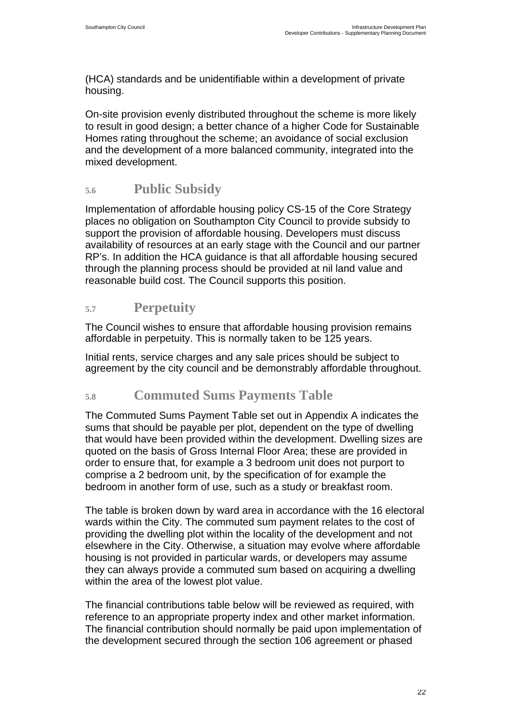<span id="page-23-0"></span>(HCA) standards and be unidentifiable within a development of private housing.

On-site provision evenly distributed throughout the scheme is more likely to result in good design; a better chance of a higher Code for Sustainable Homes rating throughout the scheme; an avoidance of social exclusion and the development of a more balanced community, integrated into the mixed development.

## **5.6 Public Subsidy**

Implementation of affordable housing policy CS-15 of the Core Strategy places no obligation on Southampton City Council to provide subsidy to support the provision of affordable housing. Developers must discuss availability of resources at an early stage with the Council and our partner RP's. In addition the HCA guidance is that all affordable housing secured through the planning process should be provided at nil land value and reasonable build cost. The Council supports this position.

## **5.7 Perpetuity**

The Council wishes to ensure that affordable housing provision remains affordable in perpetuity. This is normally taken to be 125 years.

Initial rents, service charges and any sale prices should be subject to agreement by the city council and be demonstrably affordable throughout.

## **5.8 Commuted Sums Payments Table**

The Commuted Sums Payment Table set out in Appendix A indicates the sums that should be payable per plot, dependent on the type of dwelling that would have been provided within the development. Dwelling sizes are quoted on the basis of Gross Internal Floor Area; these are provided in order to ensure that, for example a 3 bedroom unit does not purport to comprise a 2 bedroom unit, by the specification of for example the bedroom in another form of use, such as a study or breakfast room.

The table is broken down by ward area in accordance with the 16 electoral wards within the City. The commuted sum payment relates to the cost of providing the dwelling plot within the locality of the development and not elsewhere in the City. Otherwise, a situation may evolve where affordable housing is not provided in particular wards, or developers may assume they can always provide a commuted sum based on acquiring a dwelling within the area of the lowest plot value.

The financial contributions table below will be reviewed as required, with reference to an appropriate property index and other market information. The financial contribution should normally be paid upon implementation of the development secured through the section 106 agreement or phased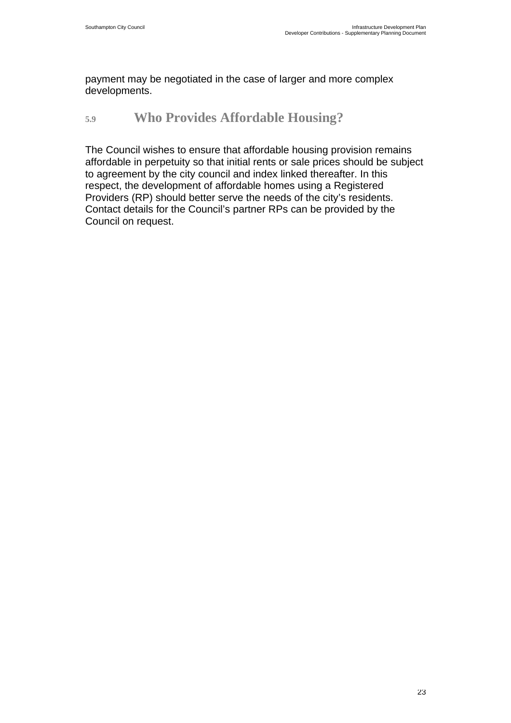<span id="page-24-0"></span>payment may be negotiated in the case of larger and more complex developments.

## **5.9 Who Provides Affordable Housing?**

The Council wishes to ensure that affordable housing provision remains affordable in perpetuity so that initial rents or sale prices should be subject to agreement by the city council and index linked thereafter. In this respect, the development of affordable homes using a Registered Providers (RP) should better serve the needs of the city's residents. Contact details for the Council's partner RPs can be provided by the Council on request.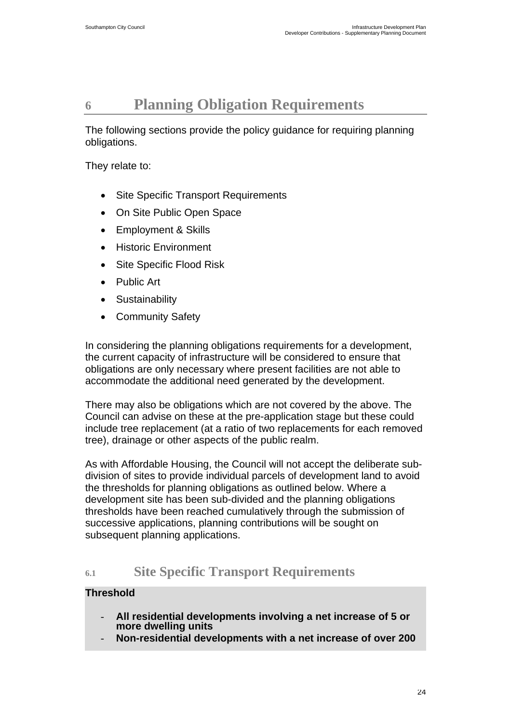## <span id="page-25-0"></span>**6 Planning Obligation Requirements**

The following sections provide the policy guidance for requiring planning obligations.

They relate to:

- Site Specific Transport Requirements
- On Site Public Open Space
- Employment & Skills
- Historic Environment
- Site Specific Flood Risk
- Public Art
- Sustainability
- Community Safety

In considering the planning obligations requirements for a development, the current capacity of infrastructure will be considered to ensure that obligations are only necessary where present facilities are not able to accommodate the additional need generated by the development.

There may also be obligations which are not covered by the above. The Council can advise on these at the pre-application stage but these could include tree replacement (at a ratio of two replacements for each removed tree), drainage or other aspects of the public realm.

As with Affordable Housing, the Council will not accept the deliberate subdivision of sites to provide individual parcels of development land to avoid the thresholds for planning obligations as outlined below. Where a development site has been sub-divided and the planning obligations thresholds have been reached cumulatively through the submission of successive applications, planning contributions will be sought on subsequent planning applications.

## **6.1 Site Specific Transport Requirements**

### **Threshold**

- **All residential developments involving a net increase of 5 or more dwelling units**
- **Non-residential developments with a net increase of over 200**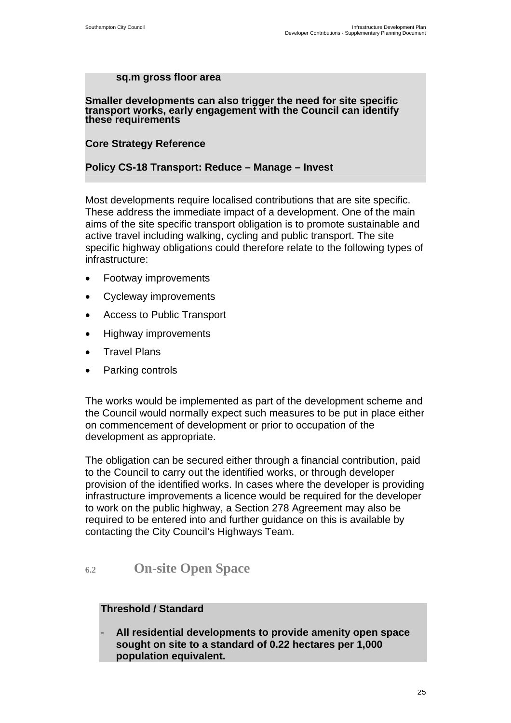#### **sq.m gross floor area**

**Smaller developments can also trigger the need for site specific transport works, early engagement with the Council can identify these requirements** 

#### **Core Strategy Reference**

#### **Policy CS-18 Transport: Reduce – Manage – Invest**

Most developments require localised contributions that are site specific. These address the immediate impact of a development. One of the main aims of the site specific transport obligation is to promote sustainable and active travel including walking, cycling and public transport. The site specific highway obligations could therefore relate to the following types of infrastructure:

- Footway improvements
- Cycleway improvements
- Access to Public Transport
- Highway improvements
- Travel Plans
- Parking controls

The works would be implemented as part of the development scheme and the Council would normally expect such measures to be put in place either on commencement of development or prior to occupation of the development as appropriate.

The obligation can be secured either through a financial contribution, paid to the Council to carry out the identified works, or through developer provision of the identified works. In cases where the developer is providing infrastructure improvements a licence would be required for the developer to work on the public highway, a Section 278 Agreement may also be required to be entered into and further guidance on this is available by contacting the City Council's Highways Team.

## **6.2 On-site Open Space**

#### **Threshold / Standard**

- **All residential developments to provide amenity open space sought on site to a standard of 0.22 hectares per 1,000 population equivalent.**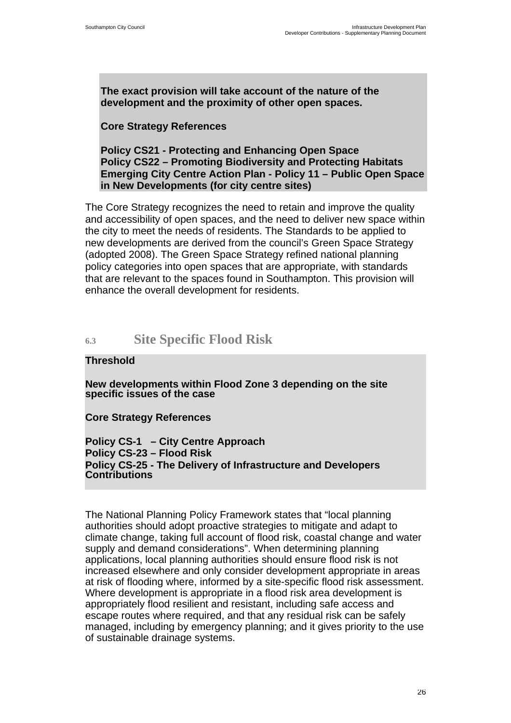<span id="page-27-0"></span>**The exact provision will take account of the nature of the development and the proximity of other open spaces.** 

#### **Core Strategy References**

**Policy CS21 - Protecting and Enhancing Open Space Policy CS22 – Promoting Biodiversity and Protecting Habitats Emerging City Centre Action Plan - Policy 11 – Public Open Space in New Developments (for city centre sites)** 

The Core Strategy recognizes the need to retain and improve the quality and accessibility of open spaces, and the need to deliver new space within the city to meet the needs of residents. The Standards to be applied to new developments are derived from the council's Green Space Strategy (adopted 2008). The Green Space Strategy refined national planning policy categories into open spaces that are appropriate, with standards that are relevant to the spaces found in Southampton. This provision will enhance the overall development for residents.

## **6.3 Site Specific Flood Risk**

#### **Threshold**

**New developments within Flood Zone 3 depending on the site specific issues of the case** 

**Core Strategy References** 

**Policy CS-1 – City Centre Approach Policy CS-23 – Flood Risk Policy CS-25 - The Delivery of Infrastructure and Developers Contributions**

The National Planning Policy Framework states that "local planning authorities should adopt proactive strategies to mitigate and adapt to climate change, taking full account of flood risk, coastal change and water supply and demand considerations". When determining planning applications, local planning authorities should ensure flood risk is not increased elsewhere and only consider development appropriate in areas at risk of flooding where, informed by a site-specific flood risk assessment. Where development is appropriate in a flood risk area development is appropriately flood resilient and resistant, including safe access and escape routes where required, and that any residual risk can be safely managed, including by emergency planning; and it gives priority to the use of sustainable drainage systems.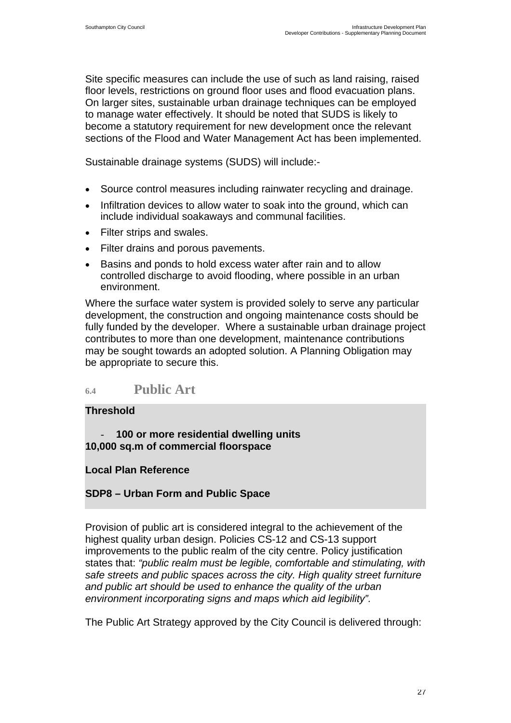<span id="page-28-0"></span>Site specific measures can include the use of such as land raising, raised floor levels, restrictions on ground floor uses and flood evacuation plans. On larger sites, sustainable urban drainage techniques can be employed to manage water effectively. It should be noted that SUDS is likely to become a statutory requirement for new development once the relevant sections of the Flood and Water Management Act has been implemented.

Sustainable drainage systems (SUDS) will include:-

- Source control measures including rainwater recycling and drainage.
- Infiltration devices to allow water to soak into the ground, which can include individual soakaways and communal facilities.
- Filter strips and swales.
- Filter drains and porous pavements.
- Basins and ponds to hold excess water after rain and to allow controlled discharge to avoid flooding, where possible in an urban environment.

Where the surface water system is provided solely to serve any particular development, the construction and ongoing maintenance costs should be fully funded by the developer. Where a sustainable urban drainage project contributes to more than one development, maintenance contributions may be sought towards an adopted solution. A Planning Obligation may be appropriate to secure this.

## **6.4 Public Art**

#### **Threshold**

- **100 or more residential dwelling units 10,000 sq.m of commercial floorspace** 

### **Local Plan Reference**

### **SDP8 – Urban Form and Public Space**

Provision of public art is considered integral to the achievement of the highest quality urban design. Policies CS-12 and CS-13 support improvements to the public realm of the city centre. Policy justification states that: *"public realm must be legible, comfortable and stimulating, with safe streets and public spaces across the city. High quality street furniture and public art should be used to enhance the quality of the urban environment incorporating signs and maps which aid legibility".* 

The Public Art Strategy approved by the City Council is delivered through: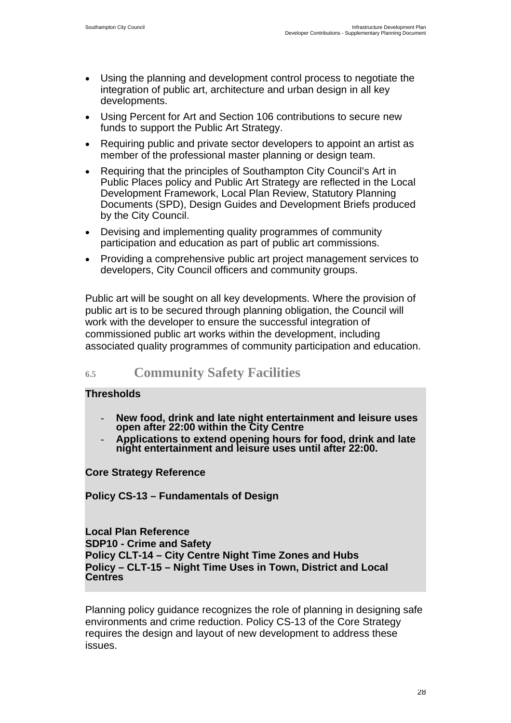- <span id="page-29-0"></span>• Using the planning and development control process to negotiate the integration of public art, architecture and urban design in all key developments.
- Using Percent for Art and Section 106 contributions to secure new funds to support the Public Art Strategy.
- Requiring public and private sector developers to appoint an artist as member of the professional master planning or design team.
- Requiring that the principles of Southampton City Council's Art in Public Places policy and Public Art Strategy are reflected in the Local Development Framework, Local Plan Review, Statutory Planning Documents (SPD), Design Guides and Development Briefs produced by the City Council.
- Devising and implementing quality programmes of community participation and education as part of public art commissions.
- Providing a comprehensive public art project management services to developers, City Council officers and community groups.

Public art will be sought on all key developments. Where the provision of public art is to be secured through planning obligation, the Council will work with the developer to ensure the successful integration of commissioned public art works within the development, including associated quality programmes of community participation and education.

## **6.5 Community Safety Facilities**

### **Thresholds**

- **New food, drink and late night entertainment and leisure uses open after 22:00 within the City Centre**
- **Applications to extend opening hours for food, drink and late night entertainment and leisure uses until after 22:00.**

**Core Strategy Reference** 

**Policy CS-13 – Fundamentals of Design** 

**Local Plan Reference SDP10 - Crime and Safety Policy CLT-14 – City Centre Night Time Zones and Hubs Policy – CLT-15 – Night Time Uses in Town, District and Local Centres**

Planning policy guidance recognizes the role of planning in designing safe environments and crime reduction. Policy CS-13 of the Core Strategy requires the design and layout of new development to address these issues.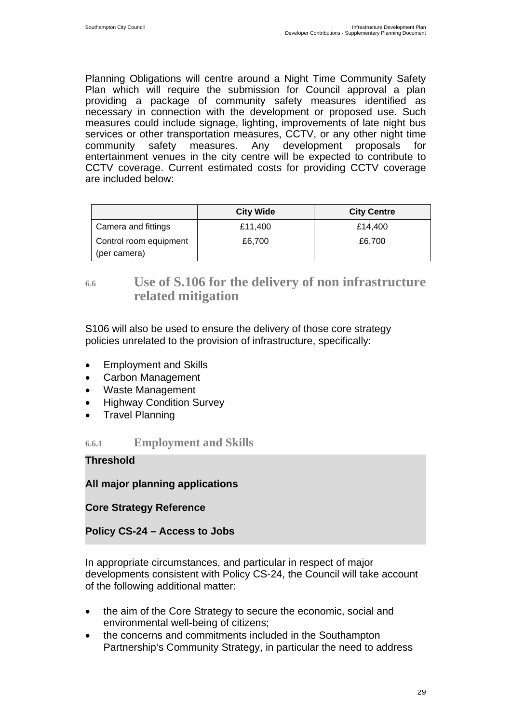<span id="page-30-0"></span>Planning Obligations will centre around a Night Time Community Safety Plan which will require the submission for Council approval a plan providing a package of community safety measures identified as necessary in connection with the development or proposed use. Such measures could include signage, lighting, improvements of late night bus services or other transportation measures, CCTV, or any other night time community safety measures. Any development proposals for entertainment venues in the city centre will be expected to contribute to CCTV coverage. Current estimated costs for providing CCTV coverage are included below:

|                                        | <b>City Wide</b> | <b>City Centre</b> |
|----------------------------------------|------------------|--------------------|
| Camera and fittings                    | £11,400          | £14.400            |
| Control room equipment<br>(per camera) | £6,700           | £6,700             |

## **6.6 Use of S.106 for the delivery of non infrastructure related mitigation**

S106 will also be used to ensure the delivery of those core strategy policies unrelated to the provision of infrastructure, specifically:

- Employment and Skills
- Carbon Management
- Waste Management
- Highway Condition Survey
- Travel Planning

**6.6.1 Employment and Skills** 

**Threshold** 

**All major planning applications** 

**Core Strategy Reference** 

**Policy CS-24 – Access to Jobs** 

In appropriate circumstances, and particular in respect of major developments consistent with Policy CS-24, the Council will take account of the following additional matter:

- the aim of the Core Strategy to secure the economic, social and environmental well-being of citizens;
- the concerns and commitments included in the Southampton Partnership's Community Strategy, in particular the need to address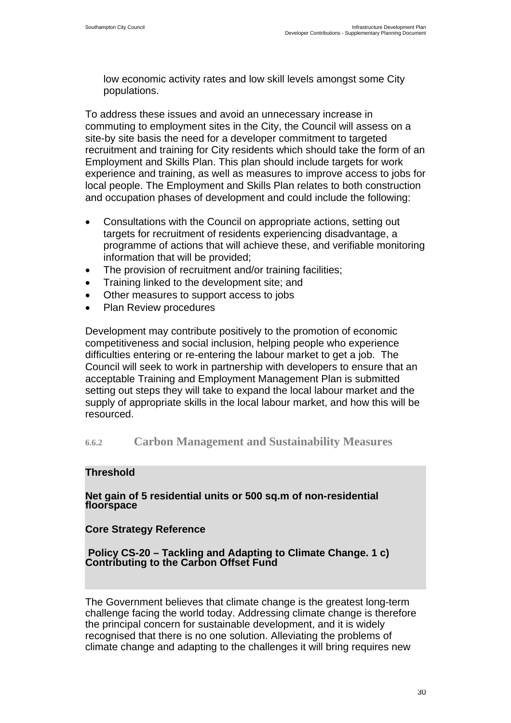low economic activity rates and low skill levels amongst some City populations.

To address these issues and avoid an unnecessary increase in commuting to employment sites in the City, the Council will assess on a site-by site basis the need for a developer commitment to targeted recruitment and training for City residents which should take the form of an Employment and Skills Plan. This plan should include targets for work experience and training, as well as measures to improve access to jobs for local people. The Employment and Skills Plan relates to both construction and occupation phases of development and could include the following:

- Consultations with the Council on appropriate actions, setting out targets for recruitment of residents experiencing disadvantage, a programme of actions that will achieve these, and verifiable monitoring information that will be provided;
- The provision of recruitment and/or training facilities;
- Training linked to the development site; and
- Other measures to support access to jobs
- Plan Review procedures

Development may contribute positively to the promotion of economic competitiveness and social inclusion, helping people who experience difficulties entering or re-entering the labour market to get a job. The Council will seek to work in partnership with developers to ensure that an acceptable Training and Employment Management Plan is submitted setting out steps they will take to expand the local labour market and the supply of appropriate skills in the local labour market, and how this will be resourced.

#### **6.6.2 Carbon Management and Sustainability Measures**

#### **Threshold**

**Net gain of 5 residential units or 500 sq.m of non-residential floorspace** 

#### **Core Strategy Reference**

# **Policy CS-20 – Tackling and Adapting to Climate Change. 1 c) Contributing to the Carbon Offset Fund**

The Government believes that climate change is the greatest long-term challenge facing the world today. Addressing climate change is therefore the principal concern for sustainable development, and it is widely recognised that there is no one solution. Alleviating the problems of climate change and adapting to the challenges it will bring requires new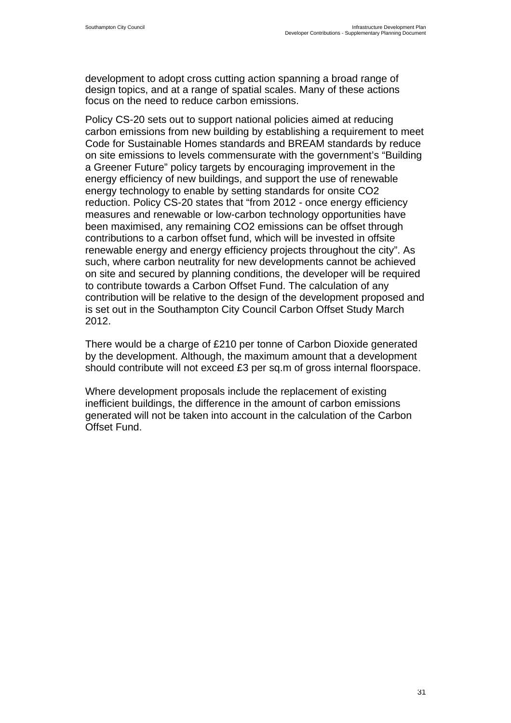development to adopt cross cutting action spanning a broad range of design topics, and at a range of spatial scales. Many of these actions focus on the need to reduce carbon emissions.

Policy CS-20 sets out to support national policies aimed at reducing carbon emissions from new building by establishing a requirement to meet Code for Sustainable Homes standards and BREAM standards by reduce on site emissions to levels commensurate with the government's "Building a Greener Future" policy targets by encouraging improvement in the energy efficiency of new buildings, and support the use of renewable energy technology to enable by setting standards for onsite CO2 reduction. Policy CS-20 states that "from 2012 - once energy efficiency measures and renewable or low-carbon technology opportunities have been maximised, any remaining CO2 emissions can be offset through contributions to a carbon offset fund, which will be invested in offsite renewable energy and energy efficiency projects throughout the city". As such, where carbon neutrality for new developments cannot be achieved on site and secured by planning conditions, the developer will be required to contribute towards a Carbon Offset Fund. The calculation of any contribution will be relative to the design of the development proposed and is set out in the Southampton City Council Carbon Offset Study March 2012.

There would be a charge of £210 per tonne of Carbon Dioxide generated by the development. Although, the maximum amount that a development should contribute will not exceed £3 per sq.m of gross internal floorspace.

Where development proposals include the replacement of existing inefficient buildings, the difference in the amount of carbon emissions generated will not be taken into account in the calculation of the Carbon Offset Fund.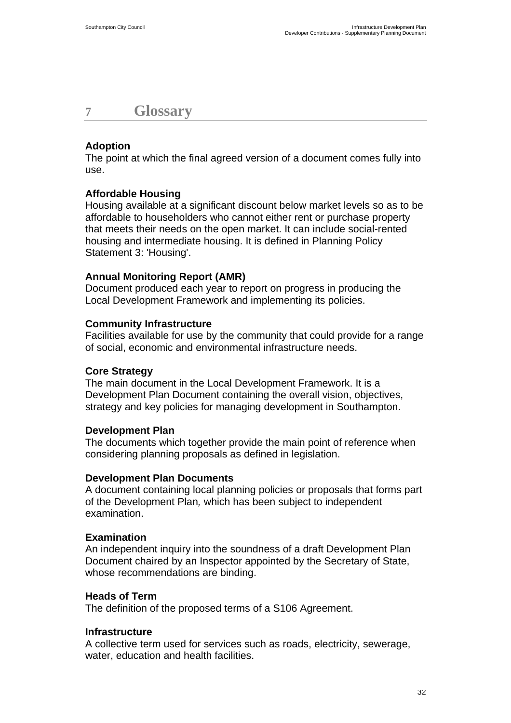## <span id="page-33-0"></span>**7 Glossary**

### **Adoption**

The point at which the final agreed version of a document comes fully into use.

### **Affordable Housing**

Housing available at a significant discount below market levels so as to be affordable to householders who cannot either rent or purchase property that meets their needs on the open market. It can include social-rented housing and intermediate housing. It is defined in Planning Policy Statement 3: 'Housing'.

### **Annual Monitoring Report (AMR)**

Document produced each year to report on progress in producing the Local Development Framework and implementing its policies.

#### **Community Infrastructure**

Facilities available for use by the community that could provide for a range of social, economic and environmental infrastructure needs.

### **Core Strategy**

The main document in the Local Development Framework. It is a Development Plan Document containing the overall vision, objectives, strategy and key policies for managing development in Southampton.

### **Development Plan**

The documents which together provide the main point of reference when considering planning proposals as defined in legislation.

#### **Development Plan Documents**

A document containing local planning policies or proposals that forms part of the Development Plan*,* which has been subject to independent examination.

#### **Examination**

An independent inquiry into the soundness of a draft Development Plan Document chaired by an Inspector appointed by the Secretary of State, whose recommendations are binding.

#### **Heads of Term**

The definition of the proposed terms of a S106 Agreement.

#### **Infrastructure**

A collective term used for services such as roads, electricity, sewerage, water, education and health facilities.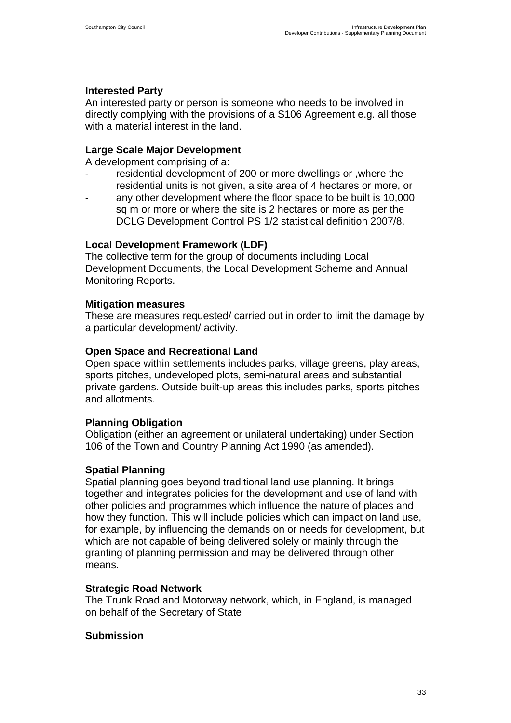## **Interested Party**

An interested party or person is someone who needs to be involved in directly complying with the provisions of a S106 Agreement e.g. all those with a material interest in the land.

### **Large Scale Major Development**

A development comprising of a:

- residential development of 200 or more dwellings or , where the residential units is not given, a site area of 4 hectares or more, or
- any other development where the floor space to be built is 10,000 sq m or more or where the site is 2 hectares or more as per the DCLG Development Control PS 1/2 statistical definition 2007/8.

### **Local Development Framework (LDF)**

The collective term for the group of documents including Local Development Documents, the Local Development Scheme and Annual Monitoring Reports.

### **Mitigation measures**

These are measures requested/ carried out in order to limit the damage by a particular development/ activity.

### **Open Space and Recreational Land**

Open space within settlements includes parks, village greens, play areas, sports pitches, undeveloped plots, semi-natural areas and substantial private gardens. Outside built-up areas this includes parks, sports pitches and allotments.

### **Planning Obligation**

Obligation (either an agreement or unilateral undertaking) under Section 106 of the Town and Country Planning Act 1990 (as amended).

### **Spatial Planning**

Spatial planning goes beyond traditional land use planning. It brings together and integrates policies for the development and use of land with other policies and programmes which influence the nature of places and how they function. This will include policies which can impact on land use, for example, by influencing the demands on or needs for development, but which are not capable of being delivered solely or mainly through the granting of planning permission and may be delivered through other means.

### **Strategic Road Network**

The Trunk Road and Motorway network, which, in England, is managed on behalf of the Secretary of State

### **Submission**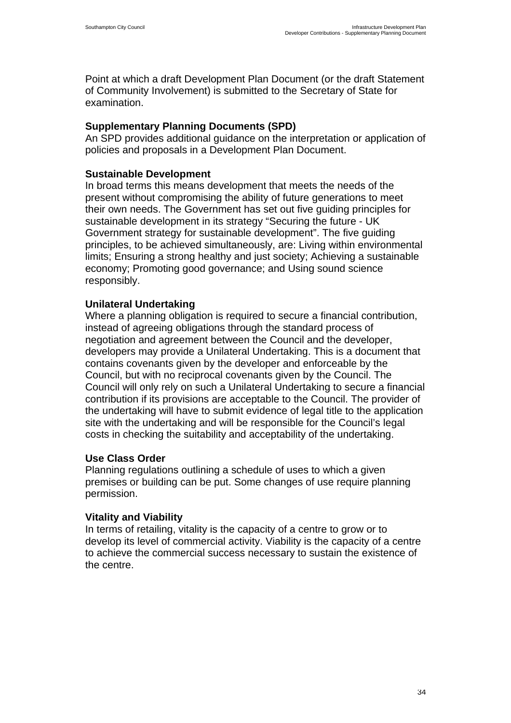Point at which a draft Development Plan Document (or the draft Statement of Community Involvement) is submitted to the Secretary of State for examination.

#### **Supplementary Planning Documents (SPD)**

An SPD provides additional guidance on the interpretation or application of policies and proposals in a Development Plan Document.

#### **Sustainable Development**

In broad terms this means development that meets the needs of the present without compromising the ability of future generations to meet their own needs. The Government has set out five guiding principles for sustainable development in its strategy "Securing the future - UK Government strategy for sustainable development". The five guiding principles, to be achieved simultaneously, are: Living within environmental limits; Ensuring a strong healthy and just society; Achieving a sustainable economy; Promoting good governance; and Using sound science responsibly.

#### **Unilateral Undertaking**

Where a planning obligation is required to secure a financial contribution, instead of agreeing obligations through the standard process of negotiation and agreement between the Council and the developer, developers may provide a Unilateral Undertaking. This is a document that contains covenants given by the developer and enforceable by the Council, but with no reciprocal covenants given by the Council. The Council will only rely on such a Unilateral Undertaking to secure a financial contribution if its provisions are acceptable to the Council. The provider of the undertaking will have to submit evidence of legal title to the application site with the undertaking and will be responsible for the Council's legal costs in checking the suitability and acceptability of the undertaking.

#### **Use Class Order**

Planning regulations outlining a schedule of uses to which a given premises or building can be put. Some changes of use require planning permission.

#### **Vitality and Viability**

In terms of retailing, vitality is the capacity of a centre to grow or to develop its level of commercial activity. Viability is the capacity of a centre to achieve the commercial success necessary to sustain the existence of the centre.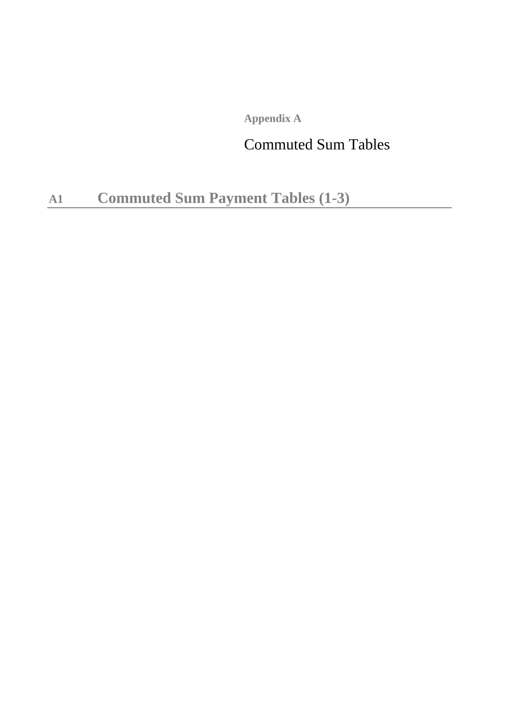**Appendix A**

## Commuted Sum Tables

**A1 Commuted Sum Payment Tables (1-3)**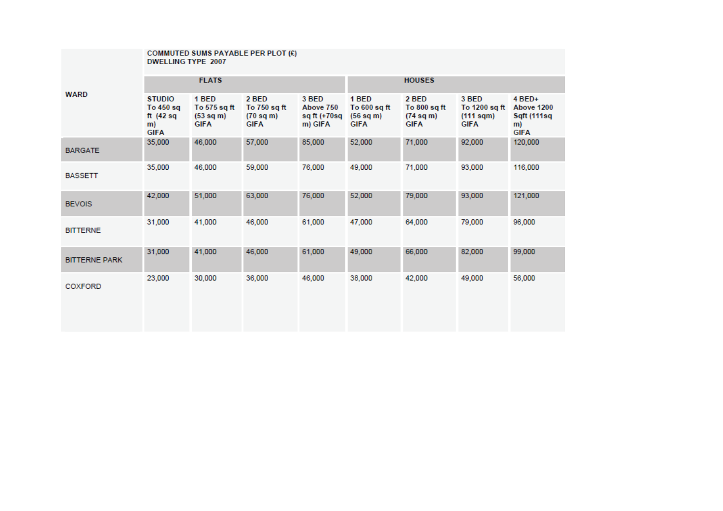|                      | COMMUTED SUMS PAYABLE PER PLOT (£)<br><b>DWELLING TYPE 2007</b> |                                                             |                                                             |                                                  |                                                     |                                                   |                                                         |                                                            |  |  |
|----------------------|-----------------------------------------------------------------|-------------------------------------------------------------|-------------------------------------------------------------|--------------------------------------------------|-----------------------------------------------------|---------------------------------------------------|---------------------------------------------------------|------------------------------------------------------------|--|--|
|                      |                                                                 | <b>FLATS</b>                                                |                                                             |                                                  |                                                     | <b>HOUSES</b>                                     |                                                         |                                                            |  |  |
| <b>WARD</b>          | <b>STUDIO</b><br>To 450 sq<br>ft $(42 sq)$<br>m)<br><b>GIFA</b> | 1 BED<br>To 575 sq ft<br>$(53 \text{ sq m})$<br><b>GIFA</b> | 2 BED<br>To 750 sq ft<br>$(70 \text{ sq m})$<br><b>GIFA</b> | 3 BED<br>Above 750<br>sq ft $(+70$ sq<br>m) GIFA | 1 BED<br>To $600$ sq ft<br>(56 sq m)<br><b>GIFA</b> | 2 BED<br>To 800 sq ft<br>(74 sq m)<br><b>GIFA</b> | 3 BED<br>To 1200 sq ft<br>$(111$ sqm $)$<br><b>GIFA</b> | $4$ BED+<br>Above 1200<br>Sqft (111sq<br>m)<br><b>GIFA</b> |  |  |
| <b>BARGATE</b>       | 35,000                                                          | 46,000                                                      | 57,000                                                      | 85,000                                           | 52,000                                              | 71,000                                            | 92,000                                                  | 120,000                                                    |  |  |
| <b>BASSETT</b>       | 35,000                                                          | 46,000                                                      | 59,000                                                      | 76,000                                           | 49,000                                              | 71,000                                            | 93,000                                                  | 116,000                                                    |  |  |
| <b>BEVOIS</b>        | 42,000                                                          | 51,000                                                      | 63,000                                                      | 76,000                                           | 52,000                                              | 79,000                                            | 93,000                                                  | 121,000                                                    |  |  |
| <b>BITTERNE</b>      | 31,000                                                          | 41,000                                                      | 46,000                                                      | 61,000                                           | 47,000                                              | 64,000                                            | 79,000                                                  | 96,000                                                     |  |  |
| <b>BITTERNE PARK</b> | 31,000                                                          | 41,000                                                      | 46,000                                                      | 61,000                                           | 49,000                                              | 66,000                                            | 82,000                                                  | 99,000                                                     |  |  |
| <b>COXFORD</b>       | 23,000                                                          | 30,000                                                      | 36,000                                                      | 46,000                                           | 38,000                                              | 42,000                                            | 49,000                                                  | 56,000                                                     |  |  |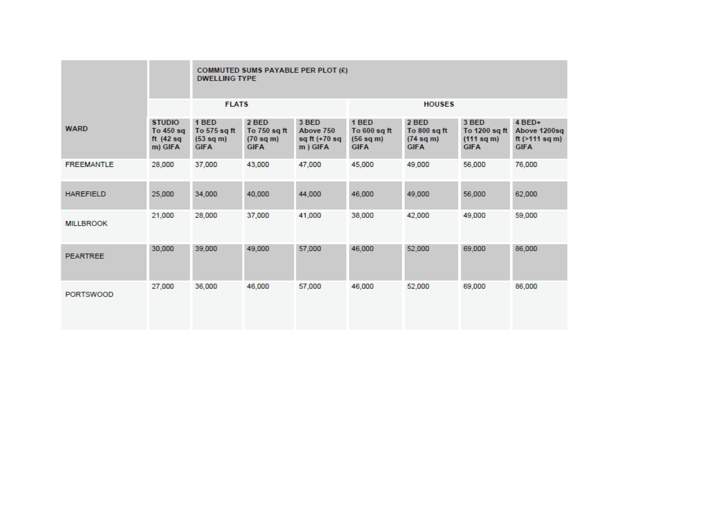|                   |                                                       |                                                   | COMMUTED SUMS PAYABLE PER PLOT (£)<br><b>DWELLING TYPE</b>  |                                                   |                                                   |                                                             |                                                     |                                                               |  |  |  |
|-------------------|-------------------------------------------------------|---------------------------------------------------|-------------------------------------------------------------|---------------------------------------------------|---------------------------------------------------|-------------------------------------------------------------|-----------------------------------------------------|---------------------------------------------------------------|--|--|--|
|                   |                                                       | <b>FLATS</b>                                      |                                                             |                                                   | <b>HOUSES</b>                                     |                                                             |                                                     |                                                               |  |  |  |
| <b>WARD</b>       | <b>STUDIO</b><br>To 450 sq<br>ft $(42 sq)$<br>m) GIFA | 1 BED<br>To 575 sq ft<br>(53 sq m)<br><b>GIFA</b> | 2 BED<br>To 750 sq ft<br>$(70 \text{ sq m})$<br><b>GIFA</b> | 3 BED<br>Above 750<br>sq ft $(+70$ sq<br>m ) GIFA | 1 BED<br>To 600 sq ft<br>(56 sq m)<br><b>GIFA</b> | 2 BED<br>To 800 sq ft<br>$(74 \text{ sq m})$<br><b>GIFA</b> | 3 BED<br>To 1200 sq ft<br>(111 sq m)<br><b>GIFA</b> | 4 BED+<br>Above 1200sq<br>ft $($ >111 sq m $)$<br><b>GIFA</b> |  |  |  |
| <b>FREEMANTLE</b> | 28,000                                                | 37,000                                            | 43,000                                                      | 47,000                                            | 45,000                                            | 49,000                                                      | 56,000                                              | 76,000                                                        |  |  |  |
| <b>HAREFIELD</b>  | 25,000                                                | 34,000                                            | 40,000                                                      | 44,000                                            | 46,000                                            | 49,000                                                      | 56,000                                              | 62,000                                                        |  |  |  |
| <b>MILLBROOK</b>  | 21,000                                                | 28,000                                            | 37,000                                                      | 41,000                                            | 38,000                                            | 42,000                                                      | 49,000                                              | 59,000                                                        |  |  |  |
| <b>PEARTREE</b>   | 30,000                                                | 39,000                                            | 49,000                                                      | 57,000                                            | 46,000                                            | 52,000                                                      | 69,000                                              | 86,000                                                        |  |  |  |
| <b>PORTSWOOD</b>  | 27,000                                                | 36,000                                            | 46,000                                                      | 57,000                                            | 46,000                                            | 52,000                                                      | 69,000                                              | 86,000                                                        |  |  |  |